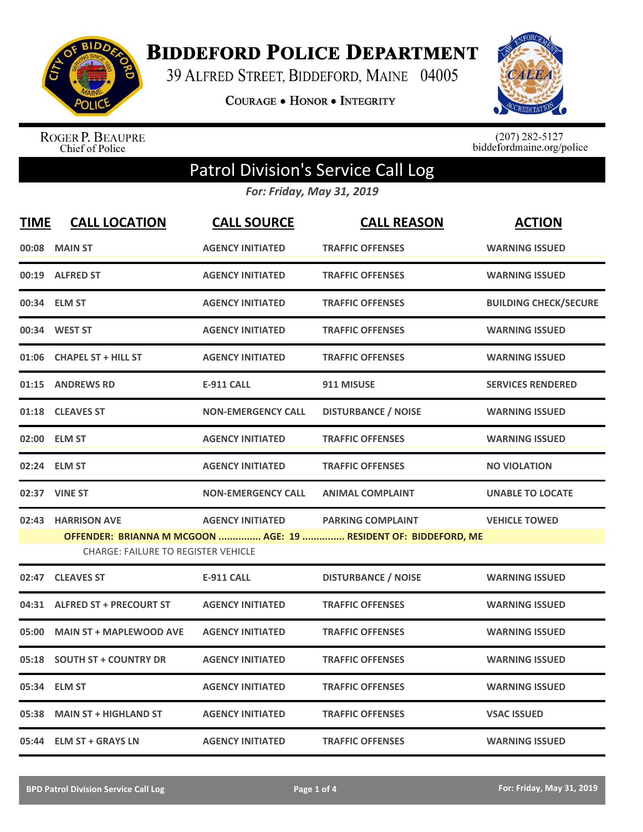

**BIDDEFORD POLICE DEPARTMENT** 

39 ALFRED STREET, BIDDEFORD, MAINE 04005

**COURAGE . HONOR . INTEGRITY** 



ROGER P. BEAUPRE<br>Chief of Police

 $(207)$  282-5127<br>biddefordmaine.org/police

## Patrol Division's Service Call Log

*For: Friday, May 31, 2019*

| <b>TIME</b> | <b>CALL LOCATION</b>                       | <b>CALL SOURCE</b>        | <b>CALL REASON</b>                                              | <b>ACTION</b>                |
|-------------|--------------------------------------------|---------------------------|-----------------------------------------------------------------|------------------------------|
|             | 00:08 MAIN ST                              | <b>AGENCY INITIATED</b>   | <b>TRAFFIC OFFENSES</b>                                         | <b>WARNING ISSUED</b>        |
|             | 00:19 ALFRED ST                            | <b>AGENCY INITIATED</b>   | <b>TRAFFIC OFFENSES</b>                                         | <b>WARNING ISSUED</b>        |
|             | 00:34 ELM ST                               | <b>AGENCY INITIATED</b>   | <b>TRAFFIC OFFENSES</b>                                         | <b>BUILDING CHECK/SECURE</b> |
| 00:34       | <b>WEST ST</b>                             | <b>AGENCY INITIATED</b>   | <b>TRAFFIC OFFENSES</b>                                         | <b>WARNING ISSUED</b>        |
| 01:06       | <b>CHAPEL ST + HILL ST</b>                 | <b>AGENCY INITIATED</b>   | <b>TRAFFIC OFFENSES</b>                                         | <b>WARNING ISSUED</b>        |
| 01:15       | <b>ANDREWS RD</b>                          | <b>E-911 CALL</b>         | 911 MISUSE                                                      | <b>SERVICES RENDERED</b>     |
|             | 01:18 CLEAVES ST                           | <b>NON-EMERGENCY CALL</b> | <b>DISTURBANCE / NOISE</b>                                      | <b>WARNING ISSUED</b>        |
|             | 02:00 ELM ST                               | <b>AGENCY INITIATED</b>   | <b>TRAFFIC OFFENSES</b>                                         | <b>WARNING ISSUED</b>        |
|             | 02:24 ELM ST                               | <b>AGENCY INITIATED</b>   | <b>TRAFFIC OFFENSES</b>                                         | <b>NO VIOLATION</b>          |
|             | 02:37 VINE ST                              | <b>NON-EMERGENCY CALL</b> | <b>ANIMAL COMPLAINT</b>                                         | <b>UNABLE TO LOCATE</b>      |
|             | 02:43 HARRISON AVE                         | <b>AGENCY INITIATED</b>   | <b>PARKING COMPLAINT</b>                                        | <b>VEHICLE TOWED</b>         |
|             | <b>CHARGE: FAILURE TO REGISTER VEHICLE</b> |                           | OFFENDER: BRIANNA M MCGOON  AGE: 19  RESIDENT OF: BIDDEFORD, ME |                              |
| 02:47       | <b>CLEAVES ST</b>                          | E-911 CALL                | <b>DISTURBANCE / NOISE</b>                                      | <b>WARNING ISSUED</b>        |
|             | 04:31 ALFRED ST + PRECOURT ST              | <b>AGENCY INITIATED</b>   | <b>TRAFFIC OFFENSES</b>                                         | <b>WARNING ISSUED</b>        |
| 05:00       | <b>MAIN ST + MAPLEWOOD AVE</b>             | <b>AGENCY INITIATED</b>   | <b>TRAFFIC OFFENSES</b>                                         | <b>WARNING ISSUED</b>        |
| 05:18       | <b>SOUTH ST + COUNTRY DR</b>               | <b>AGENCY INITIATED</b>   | <b>TRAFFIC OFFENSES</b>                                         | <b>WARNING ISSUED</b>        |
| 05:34       | <b>ELM ST</b>                              | <b>AGENCY INITIATED</b>   | <b>TRAFFIC OFFENSES</b>                                         | <b>WARNING ISSUED</b>        |
| 05:38       | <b>MAIN ST + HIGHLAND ST</b>               | <b>AGENCY INITIATED</b>   | <b>TRAFFIC OFFENSES</b>                                         | <b>VSAC ISSUED</b>           |
|             | 05:44 ELM ST + GRAYS LN                    | <b>AGENCY INITIATED</b>   | <b>TRAFFIC OFFENSES</b>                                         | <b>WARNING ISSUED</b>        |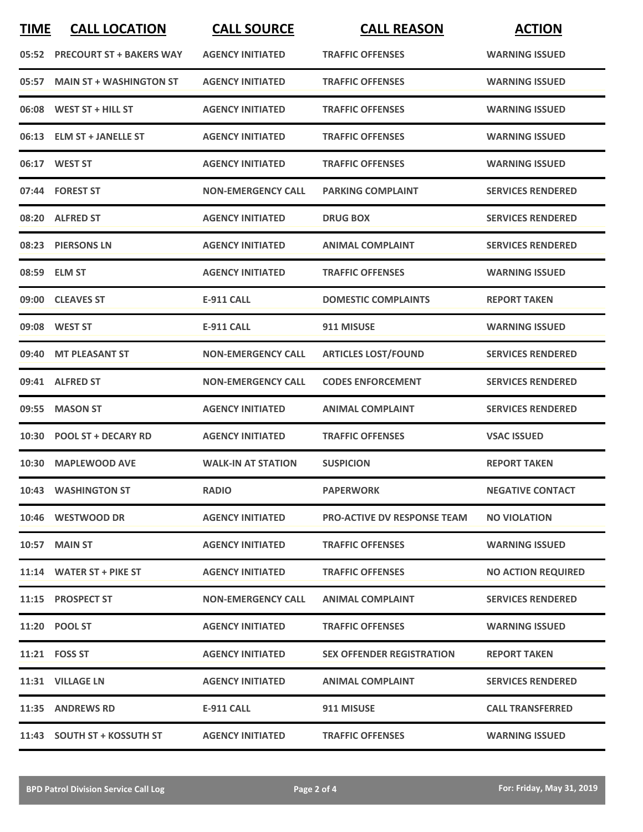| <b>TIME</b> | <b>CALL LOCATION</b>           | <b>CALL SOURCE</b>        | <b>CALL REASON</b>                 | <b>ACTION</b>             |
|-------------|--------------------------------|---------------------------|------------------------------------|---------------------------|
|             | 05:52 PRECOURT ST + BAKERS WAY | <b>AGENCY INITIATED</b>   | <b>TRAFFIC OFFENSES</b>            | <b>WARNING ISSUED</b>     |
| 05:57       | <b>MAIN ST + WASHINGTON ST</b> | <b>AGENCY INITIATED</b>   | <b>TRAFFIC OFFENSES</b>            | <b>WARNING ISSUED</b>     |
|             | 06:08 WEST ST + HILL ST        | <b>AGENCY INITIATED</b>   | <b>TRAFFIC OFFENSES</b>            | <b>WARNING ISSUED</b>     |
|             | 06:13 ELM ST + JANELLE ST      | <b>AGENCY INITIATED</b>   | <b>TRAFFIC OFFENSES</b>            | <b>WARNING ISSUED</b>     |
|             | 06:17 WEST ST                  | <b>AGENCY INITIATED</b>   | <b>TRAFFIC OFFENSES</b>            | <b>WARNING ISSUED</b>     |
|             | 07:44 FOREST ST                | <b>NON-EMERGENCY CALL</b> | <b>PARKING COMPLAINT</b>           | <b>SERVICES RENDERED</b>  |
|             | 08:20 ALFRED ST                | <b>AGENCY INITIATED</b>   | <b>DRUG BOX</b>                    | <b>SERVICES RENDERED</b>  |
|             | 08:23 PIERSONS LN              | <b>AGENCY INITIATED</b>   | <b>ANIMAL COMPLAINT</b>            | <b>SERVICES RENDERED</b>  |
|             | 08:59 ELM ST                   | <b>AGENCY INITIATED</b>   | <b>TRAFFIC OFFENSES</b>            | <b>WARNING ISSUED</b>     |
|             | 09:00 CLEAVES ST               | <b>E-911 CALL</b>         | <b>DOMESTIC COMPLAINTS</b>         | <b>REPORT TAKEN</b>       |
| 09:08       | <b>WEST ST</b>                 | <b>E-911 CALL</b>         | 911 MISUSE                         | <b>WARNING ISSUED</b>     |
| 09:40       | <b>MT PLEASANT ST</b>          | <b>NON-EMERGENCY CALL</b> | <b>ARTICLES LOST/FOUND</b>         | <b>SERVICES RENDERED</b>  |
| 09:41       | <b>ALFRED ST</b>               | <b>NON-EMERGENCY CALL</b> | <b>CODES ENFORCEMENT</b>           | <b>SERVICES RENDERED</b>  |
| 09:55       | <b>MASON ST</b>                | <b>AGENCY INITIATED</b>   | <b>ANIMAL COMPLAINT</b>            | <b>SERVICES RENDERED</b>  |
|             | 10:30 POOL ST + DECARY RD      | <b>AGENCY INITIATED</b>   | <b>TRAFFIC OFFENSES</b>            | <b>VSAC ISSUED</b>        |
|             | 10:30 MAPLEWOOD AVE            | <b>WALK-IN AT STATION</b> | <b>SUSPICION</b>                   | <b>REPORT TAKEN</b>       |
|             | 10:43 WASHINGTON ST            | <b>RADIO</b>              | <b>PAPERWORK</b>                   | <b>NEGATIVE CONTACT</b>   |
|             | 10:46 WESTWOOD DR              | <b>AGENCY INITIATED</b>   | <b>PRO-ACTIVE DV RESPONSE TEAM</b> | <b>NO VIOLATION</b>       |
|             | <b>10:57 MAIN ST</b>           | <b>AGENCY INITIATED</b>   | <b>TRAFFIC OFFENSES</b>            | <b>WARNING ISSUED</b>     |
|             | 11:14 WATER ST + PIKE ST       | <b>AGENCY INITIATED</b>   | <b>TRAFFIC OFFENSES</b>            | <b>NO ACTION REQUIRED</b> |
|             | 11:15 PROSPECT ST              | <b>NON-EMERGENCY CALL</b> | <b>ANIMAL COMPLAINT</b>            | <b>SERVICES RENDERED</b>  |
|             | 11:20 POOL ST                  | <b>AGENCY INITIATED</b>   | <b>TRAFFIC OFFENSES</b>            | <b>WARNING ISSUED</b>     |
|             | 11:21 FOSS ST                  | <b>AGENCY INITIATED</b>   | <b>SEX OFFENDER REGISTRATION</b>   | <b>REPORT TAKEN</b>       |
|             | 11:31 VILLAGE LN               | <b>AGENCY INITIATED</b>   | <b>ANIMAL COMPLAINT</b>            | <b>SERVICES RENDERED</b>  |
|             | 11:35 ANDREWS RD               | E-911 CALL                | 911 MISUSE                         | <b>CALL TRANSFERRED</b>   |
|             | 11:43 SOUTH ST + KOSSUTH ST    | <b>AGENCY INITIATED</b>   | <b>TRAFFIC OFFENSES</b>            | <b>WARNING ISSUED</b>     |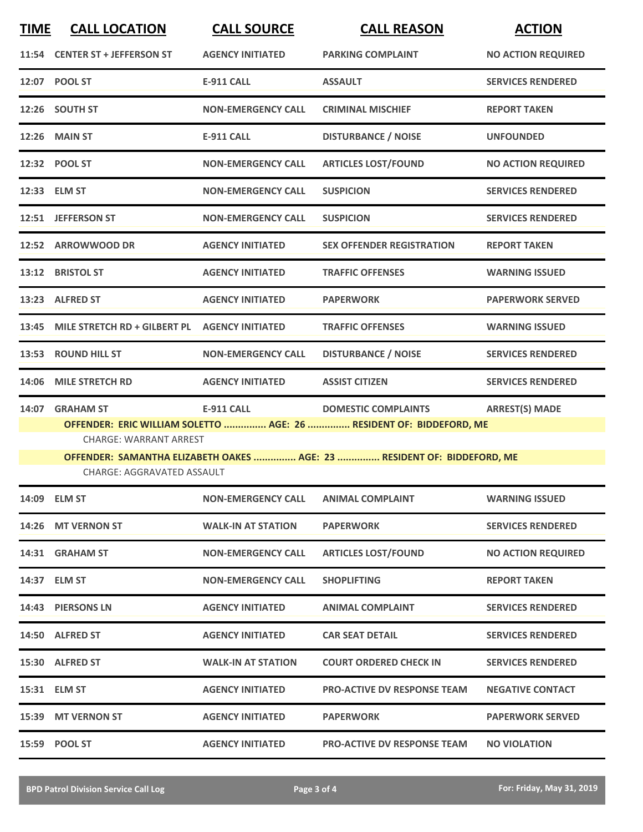| <b>TIME</b> | <b>CALL LOCATION</b>                                | <b>CALL SOURCE</b>        | <b>CALL REASON</b>                                                                                | <b>ACTION</b>             |
|-------------|-----------------------------------------------------|---------------------------|---------------------------------------------------------------------------------------------------|---------------------------|
|             | 11:54 CENTER ST + JEFFERSON ST                      | <b>AGENCY INITIATED</b>   | <b>PARKING COMPLAINT</b>                                                                          | <b>NO ACTION REQUIRED</b> |
|             | 12:07 POOL ST                                       | <b>E-911 CALL</b>         | <b>ASSAULT</b>                                                                                    | <b>SERVICES RENDERED</b>  |
|             | 12:26 SOUTH ST                                      | <b>NON-EMERGENCY CALL</b> | <b>CRIMINAL MISCHIEF</b>                                                                          | <b>REPORT TAKEN</b>       |
|             | <b>12:26 MAIN ST</b>                                | <b>E-911 CALL</b>         | <b>DISTURBANCE / NOISE</b>                                                                        | <b>UNFOUNDED</b>          |
|             | 12:32 POOL ST                                       | <b>NON-EMERGENCY CALL</b> | <b>ARTICLES LOST/FOUND</b>                                                                        | <b>NO ACTION REQUIRED</b> |
|             | 12:33 ELM ST                                        | <b>NON-EMERGENCY CALL</b> | <b>SUSPICION</b>                                                                                  | <b>SERVICES RENDERED</b>  |
|             | 12:51 JEFFERSON ST                                  | <b>NON-EMERGENCY CALL</b> | <b>SUSPICION</b>                                                                                  | <b>SERVICES RENDERED</b>  |
|             | 12:52 ARROWWOOD DR                                  | <b>AGENCY INITIATED</b>   | <b>SEX OFFENDER REGISTRATION</b>                                                                  | <b>REPORT TAKEN</b>       |
|             | 13:12 BRISTOL ST                                    | <b>AGENCY INITIATED</b>   | <b>TRAFFIC OFFENSES</b>                                                                           | <b>WARNING ISSUED</b>     |
|             | 13:23 ALFRED ST                                     | <b>AGENCY INITIATED</b>   | <b>PAPERWORK</b>                                                                                  | <b>PAPERWORK SERVED</b>   |
|             | 13:45 MILE STRETCH RD + GILBERT PL AGENCY INITIATED |                           | <b>TRAFFIC OFFENSES</b>                                                                           | <b>WARNING ISSUED</b>     |
|             | 13:53 ROUND HILL ST                                 | <b>NON-EMERGENCY CALL</b> | <b>DISTURBANCE / NOISE</b>                                                                        | <b>SERVICES RENDERED</b>  |
| 14:06       | <b>MILE STRETCH RD</b>                              | <b>AGENCY INITIATED</b>   | <b>ASSIST CITIZEN</b>                                                                             | <b>SERVICES RENDERED</b>  |
| 14:07       | <b>GRAHAM ST</b>                                    | <b>E-911 CALL</b>         | <b>DOMESTIC COMPLAINTS</b><br>OFFENDER: ERIC WILLIAM SOLETTO  AGE: 26  RESIDENT OF: BIDDEFORD, ME | <b>ARREST(S) MADE</b>     |
|             | <b>CHARGE: WARRANT ARREST</b>                       |                           |                                                                                                   |                           |
|             | CHARGE: AGGRAVATED ASSAULT                          |                           | OFFENDER: SAMANTHA ELIZABETH OAKES  AGE: 23  RESIDENT OF: BIDDEFORD, ME                           |                           |
|             | 14:09 ELM ST                                        | <b>NON-EMERGENCY CALL</b> | <b>ANIMAL COMPLAINT</b>                                                                           | <b>WARNING ISSUED</b>     |
|             | 14:26 MT VERNON ST                                  | <b>WALK-IN AT STATION</b> | <b>PAPERWORK</b>                                                                                  | <b>SERVICES RENDERED</b>  |
|             | 14:31 GRAHAM ST                                     | <b>NON-EMERGENCY CALL</b> | <b>ARTICLES LOST/FOUND</b>                                                                        | <b>NO ACTION REQUIRED</b> |
|             | 14:37 ELM ST                                        | <b>NON-EMERGENCY CALL</b> | <b>SHOPLIFTING</b>                                                                                | <b>REPORT TAKEN</b>       |
|             | 14:43 PIERSONS LN                                   | <b>AGENCY INITIATED</b>   | <b>ANIMAL COMPLAINT</b>                                                                           | <b>SERVICES RENDERED</b>  |
|             | 14:50 ALFRED ST                                     | <b>AGENCY INITIATED</b>   | <b>CAR SEAT DETAIL</b>                                                                            | <b>SERVICES RENDERED</b>  |
|             | 15:30 ALFRED ST                                     | <b>WALK-IN AT STATION</b> | <b>COURT ORDERED CHECK IN</b>                                                                     | <b>SERVICES RENDERED</b>  |
|             | 15:31 ELM ST                                        | <b>AGENCY INITIATED</b>   | <b>PRO-ACTIVE DV RESPONSE TEAM</b>                                                                | <b>NEGATIVE CONTACT</b>   |
|             |                                                     |                           |                                                                                                   |                           |
|             | 15:39 MT VERNON ST                                  | <b>AGENCY INITIATED</b>   | <b>PAPERWORK</b>                                                                                  | <b>PAPERWORK SERVED</b>   |